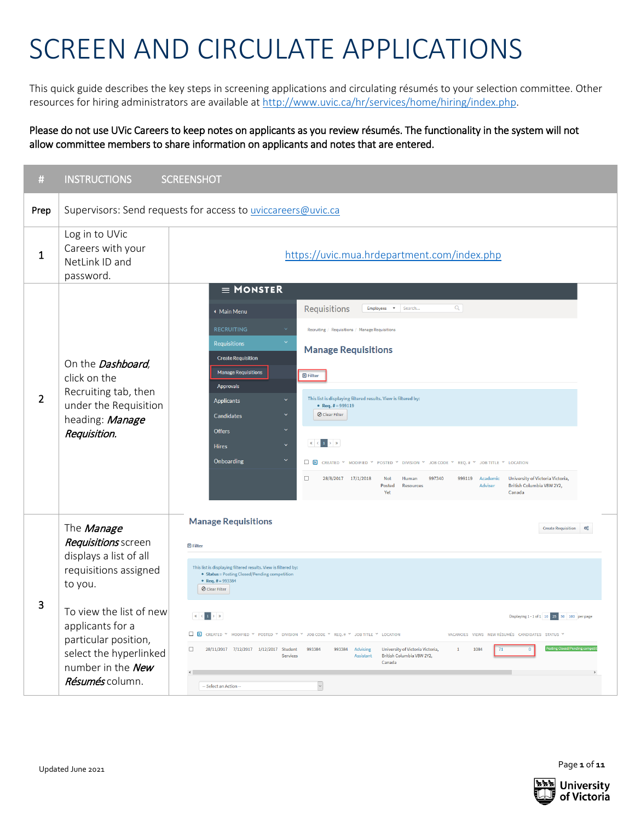## SCREEN AND CIRCULATE APPLICATIONS

This quick guide describes the key steps in screening applications and circulating résumés to your selection committee. Other resources for hiring administrators are available at [http://www.uvic.ca/hr/services/home/hiring/index.php.](http://www.uvic.ca/hr/services/home/hiring/index.php)

Please do not use UVic Careers to keep notes on applicants as you review résumés. The functionality in the system will not allow committee members to share information on applicants and notes that are entered.

| #              | <b>INSTRUCTIONS</b>                                                                                                                                                                                                                      | <b>SCREENSHOT</b>                                                                                                                                                                                                                                                                                                                                                                                                                                                                                                                                                                                                                                                                                                                                                                                                                                                              |  |  |  |  |
|----------------|------------------------------------------------------------------------------------------------------------------------------------------------------------------------------------------------------------------------------------------|--------------------------------------------------------------------------------------------------------------------------------------------------------------------------------------------------------------------------------------------------------------------------------------------------------------------------------------------------------------------------------------------------------------------------------------------------------------------------------------------------------------------------------------------------------------------------------------------------------------------------------------------------------------------------------------------------------------------------------------------------------------------------------------------------------------------------------------------------------------------------------|--|--|--|--|
| Prep           | Supervisors: Send requests for access to uviccareers@uvic.ca                                                                                                                                                                             |                                                                                                                                                                                                                                                                                                                                                                                                                                                                                                                                                                                                                                                                                                                                                                                                                                                                                |  |  |  |  |
| 1              | Log in to UVic<br>Careers with your<br>NetLink ID and<br>password.                                                                                                                                                                       | https://uvic.mua.hrdepartment.com/index.php                                                                                                                                                                                                                                                                                                                                                                                                                                                                                                                                                                                                                                                                                                                                                                                                                                    |  |  |  |  |
| $\overline{2}$ | On the <b>Dashboard</b> ,<br>click on the<br>Recruiting tab, then<br>under the Requisition<br>heading: Manage<br>Requisition.                                                                                                            | $\equiv$ MONSTER<br>Requisitions<br>$\mathsf Q$<br>v Search<br><b>Employees</b><br>◆ Main Menu<br><b>RECRUITING</b><br>Recruiting / Requisitions / Manage Requisitions<br><b>Requisitions</b><br><b>Manage Requisitions</b><br><b>Create Requisition</b><br><b>Manage Requisitions</b><br><b>D</b> Filter<br>Approvals<br>This list is displaying filtered results. View is filtered by:<br><b>Applicants</b><br>• Req. # = 999119<br>O Clear Filter<br>Candidates<br><b>Offers</b><br>$\ll$ $\mid$ $<$ $\mid$ 1 $\mid$ $>$ $\mid$ $\gg$<br><b>Hires</b><br>Onboarding<br>□ <b>D</b> CREATED * MODIFIED * POSTED * DIVISION * JOB CODE * REQ.# * JOB TITLE * LOCATION<br>28/8/2017 17/1/2018<br>$\Box$<br>997340<br>999119 Academic<br>University of Victoria Victoria,<br>Not<br>Human<br>British Columbia V8W 2Y2,<br>Posted<br>Adviser<br><b>Resources</b><br>Canada<br>Yet |  |  |  |  |
| 3              | The Manage<br>Requisitions screen<br>displays a list of all<br>requisitions assigned<br>to you.<br>To view the list of new<br>applicants for a<br>particular position,<br>select the hyperlinked<br>number in the New<br>Résumés column. | <b>Manage Requisitions</b><br><b>Create Requisition</b><br>œ<br><b>D</b> Filter<br>This list is displaying filtered results. View is filtered by:<br>• Status = Posting Closed/Pending competition<br>• Req. # = 993384<br>O Clear Filter<br>$\ll$ $\mid$ $<$<br>$ 1  \rightarrow  3 $<br>Displaying 1 - 1 of 1 10 25 50 100 per page<br><b>D</b> CREATED * MODIFIED * POSTED * DIVISION * JOB CODE * REQ.# * JOB TITLE * LOCATION<br>VACANCIES VIEWS NEW RÉSUMÉS CANDIDATES STATUS<br>$\Box$<br>28/11/2017 7/12/2017 1/12/2017 Student<br>993384 Advising<br>University of Victoria Victoria,<br>1084<br>993384<br>$\overline{1}$<br>71<br>Assistant<br>British Columbia V8W 2Y2,<br>Services<br>Canada<br>$\overline{\phantom{0}}$<br>-- Select an Action --                                                                                                                 |  |  |  |  |

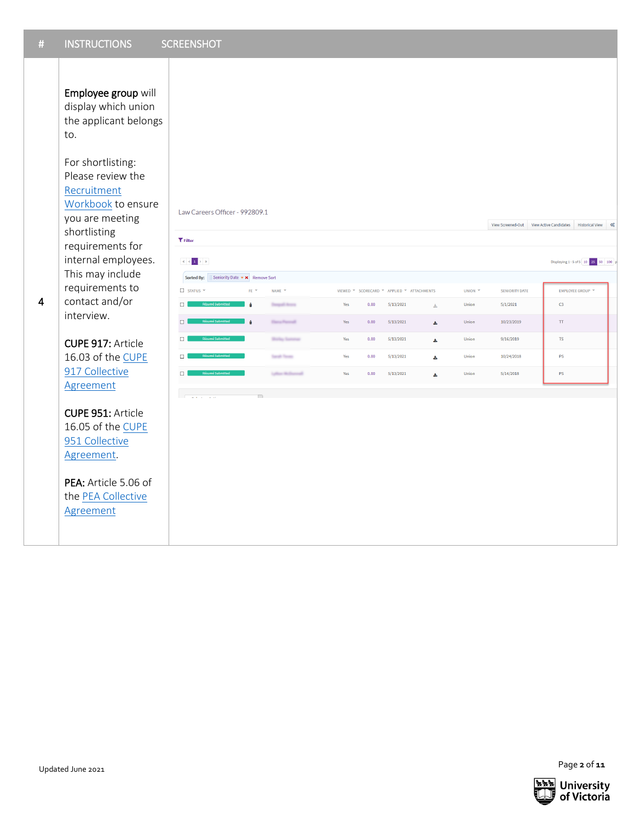Employee group will display which union the applicant belongs to.

For shortlisting: Please review the [Recruitment](http://www.uvic.ca/hr/assets/docs/recruitment/Recruitment%20Workbook.pdf)  [Workbook](http://www.uvic.ca/hr/assets/docs/recruitment/Recruitment%20Workbook.pdf) to ensure you are meeting shortlisting requirements for internal employees. This may include requirements to contact and/or interview.

## CUPE 917: Article 16.03 of th[e CUPE](https://www.uvic.ca/hr/pay-benefits/collective-agreements/index.php)  [917 Collective](https://www.uvic.ca/hr/pay-benefits/collective-agreements/index.php)  **[Agreement](https://www.uvic.ca/hr/pay-benefits/collective-agreements/index.php)**

4

CUPE 951: Article 16.05 of th[e CUPE](https://www.uvic.ca/hr/pay-benefits/collective-agreements/index.php)  [951 Collective](https://www.uvic.ca/hr/pay-benefits/collective-agreements/index.php)  [Agreement.](https://www.uvic.ca/hr/pay-benefits/collective-agreements/index.php)

PEA: Article 5.06 of the [PEA Collective](https://www.uvic.ca/hr/pay-benefits/collective-agreements/index.php)  [Agreement](https://www.uvic.ca/hr/pay-benefits/collective-agreements/index.php)

|                                              |                                                              |                         |     |      |                                            |       |                    |                       | View Screened-Out View Active Candidates<br>Historical View 0 |
|----------------------------------------------|--------------------------------------------------------------|-------------------------|-----|------|--------------------------------------------|-------|--------------------|-----------------------|---------------------------------------------------------------|
| <b>T</b> Filter                              |                                                              |                         |     |      |                                            |       |                    |                       |                                                               |
| $\  \ll \  < \  1 \  > \  \gg \ $            |                                                              |                         |     |      |                                            |       |                    |                       | Displaying 1 - 5 of 5 10 25 50 100 p                          |
| Sorted By:<br>$\Box$ status $\sim$           | Seniority Date $\star \times$ Remove Sort<br>FE <sup>V</sup> | NAME $\vee$             |     |      | VIEWED * SCORECARD * APPLIED * ATTACHMENTS |       | UNION $\checkmark$ | <b>SENIORITY DATE</b> | EMPLOYEE GROUP                                                |
| $\Box$<br>Résumé Submitted                   | ô                                                            | <b>Tempel Avera</b>     | Yes | 0.00 | 5/13/2021                                  | $\pm$ | Union              | 5/1/2021              | C <sub>3</sub>                                                |
| $\Box$<br>Résumé Submitted                   | ô                                                            | <b>Though Processil</b> | Yes | 0.00 | 5/13/2021                                  | 出     | Union              | 10/23/2019            | TT.                                                           |
| $\Box$<br><b>Résumé Submitted</b>            |                                                              | <b>Bollay Sammar</b>    | Yes | 0.00 | 5/13/2021                                  | 医     | Union              | 9/16/2019             | <b>TS</b>                                                     |
| Résumé Submitted<br>$\Box$                   |                                                              | Sandy Source            | Yes | 0.00 | 5/13/2021                                  | Δ     | Union              | 10/24/2018            | PS.                                                           |
| Résumé Submitted<br>$\Box$                   |                                                              | Lythan McDonnell        | Yes | 0.00 | 5/13/2021                                  | 医     | Union              | 5/14/2018             | PS.                                                           |
| $\overline{\phantom{a}}$<br>when the control | $\Box$                                                       |                         |     |      |                                            |       |                    |                       |                                                               |
|                                              |                                                              |                         |     |      |                                            |       |                    |                       |                                                               |
|                                              |                                                              |                         |     |      |                                            |       |                    |                       |                                                               |
|                                              |                                                              |                         |     |      |                                            |       |                    |                       |                                                               |
|                                              |                                                              |                         |     |      |                                            |       |                    |                       |                                                               |
|                                              |                                                              |                         |     |      |                                            |       |                    |                       |                                                               |
|                                              |                                                              |                         |     |      |                                            |       |                    |                       |                                                               |

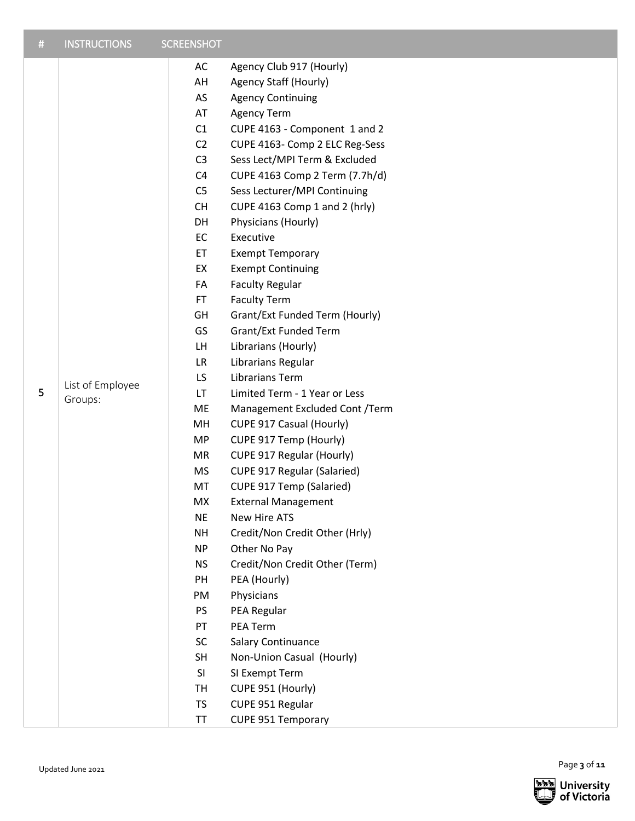| # | <b>INSTRUCTIONS</b>         | <b>SCREENSHOT</b>                                                                                                                                                                                                                                                                                                               |                                                                                                                                                                                                                                                                                                                                                                                                                                                                                                                                                                                                                                                                                                                                                                                                                                                                                                                                                                                  |
|---|-----------------------------|---------------------------------------------------------------------------------------------------------------------------------------------------------------------------------------------------------------------------------------------------------------------------------------------------------------------------------|----------------------------------------------------------------------------------------------------------------------------------------------------------------------------------------------------------------------------------------------------------------------------------------------------------------------------------------------------------------------------------------------------------------------------------------------------------------------------------------------------------------------------------------------------------------------------------------------------------------------------------------------------------------------------------------------------------------------------------------------------------------------------------------------------------------------------------------------------------------------------------------------------------------------------------------------------------------------------------|
| 5 | List of Employee<br>Groups: | AC<br>AH<br>AS<br>AT<br>C1<br>C <sub>2</sub><br>C <sub>3</sub><br>C <sub>4</sub><br>C <sub>5</sub><br><b>CH</b><br>DH<br>EC<br>ET<br>EX<br>FA<br>FT.<br>GH<br>GS<br>LH.<br><b>LR</b><br>LS<br><b>LT</b><br>ME<br>MH<br><b>MP</b><br>MR<br><b>MS</b><br>MT<br>MX<br><b>NE</b><br><b>NH</b><br><b>NP</b><br><b>NS</b><br>PH<br>PM | Agency Club 917 (Hourly)<br>Agency Staff (Hourly)<br><b>Agency Continuing</b><br><b>Agency Term</b><br>CUPE 4163 - Component 1 and 2<br>CUPE 4163- Comp 2 ELC Reg-Sess<br>Sess Lect/MPI Term & Excluded<br>CUPE 4163 Comp 2 Term (7.7h/d)<br>Sess Lecturer/MPI Continuing<br>CUPE 4163 Comp 1 and 2 (hrly)<br>Physicians (Hourly)<br>Executive<br><b>Exempt Temporary</b><br><b>Exempt Continuing</b><br><b>Faculty Regular</b><br><b>Faculty Term</b><br>Grant/Ext Funded Term (Hourly)<br>Grant/Ext Funded Term<br>Librarians (Hourly)<br>Librarians Regular<br><b>Librarians Term</b><br>Limited Term - 1 Year or Less<br>Management Excluded Cont /Term<br>CUPE 917 Casual (Hourly)<br>CUPE 917 Temp (Hourly)<br>CUPE 917 Regular (Hourly)<br><b>CUPE 917 Regular (Salaried)</b><br>CUPE 917 Temp (Salaried)<br><b>External Management</b><br>New Hire ATS<br>Credit/Non Credit Other (Hrly)<br>Other No Pay<br>Credit/Non Credit Other (Term)<br>PEA (Hourly)<br>Physicians |
|   |                             | PS<br>PT                                                                                                                                                                                                                                                                                                                        | PEA Regular<br>PEA Term                                                                                                                                                                                                                                                                                                                                                                                                                                                                                                                                                                                                                                                                                                                                                                                                                                                                                                                                                          |
|   |                             | <b>SC</b><br><b>SH</b><br>SI<br><b>TH</b><br><b>TS</b>                                                                                                                                                                                                                                                                          | Salary Continuance<br>Non-Union Casual (Hourly)<br>SI Exempt Term<br>CUPE 951 (Hourly)<br>CUPE 951 Regular                                                                                                                                                                                                                                                                                                                                                                                                                                                                                                                                                                                                                                                                                                                                                                                                                                                                       |
|   |                             | <b>TT</b>                                                                                                                                                                                                                                                                                                                       | <b>CUPE 951 Temporary</b>                                                                                                                                                                                                                                                                                                                                                                                                                                                                                                                                                                                                                                                                                                                                                                                                                                                                                                                                                        |

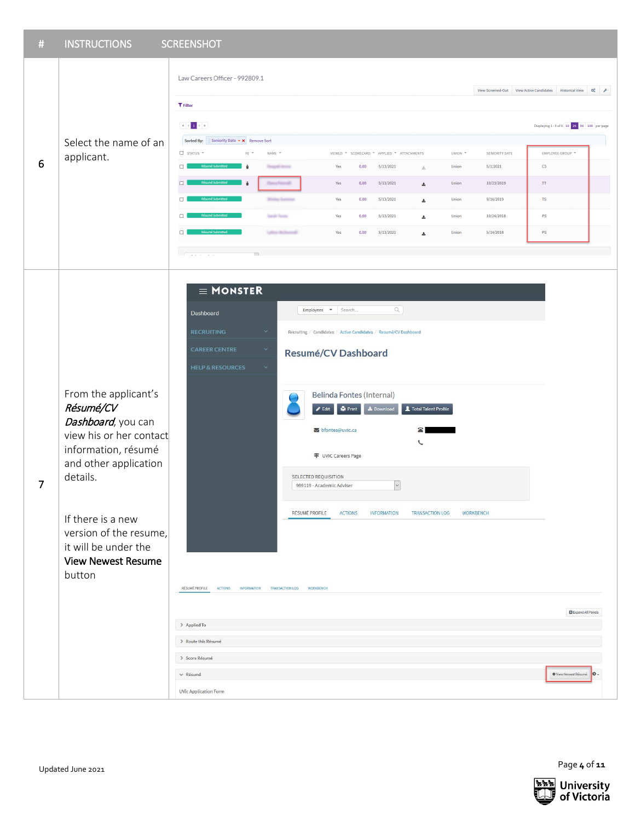| $\#$           | <b>INSTRUCTIONS</b>                                                                                                                                                                                                                                          | <b>SCREENSHOT</b>                                                                                                                                                                                                                                                                                                                                                                                                                                                                                                                                                                                                                                                                                                                                                                                   |                                                                               |
|----------------|--------------------------------------------------------------------------------------------------------------------------------------------------------------------------------------------------------------------------------------------------------------|-----------------------------------------------------------------------------------------------------------------------------------------------------------------------------------------------------------------------------------------------------------------------------------------------------------------------------------------------------------------------------------------------------------------------------------------------------------------------------------------------------------------------------------------------------------------------------------------------------------------------------------------------------------------------------------------------------------------------------------------------------------------------------------------------------|-------------------------------------------------------------------------------|
|                |                                                                                                                                                                                                                                                              | Law Careers Officer - 992809.1<br><b>T</b> Filter                                                                                                                                                                                                                                                                                                                                                                                                                                                                                                                                                                                                                                                                                                                                                   | View Screened-Out View Active Candidates Historical View $\mathbf{Q}_{8}^{0}$ |
|                |                                                                                                                                                                                                                                                              | $\vert \mathcal{C} \vert \leqslant 1 \Rightarrow \mathcal{D}$                                                                                                                                                                                                                                                                                                                                                                                                                                                                                                                                                                                                                                                                                                                                       | Displaying 1 - 5 of 5 10 25 50 100 per page                                   |
|                | Select the name of an<br>applicant.                                                                                                                                                                                                                          | Seniority Date v x Remove Sort<br>Sorted By:                                                                                                                                                                                                                                                                                                                                                                                                                                                                                                                                                                                                                                                                                                                                                        |                                                                               |
| 6              |                                                                                                                                                                                                                                                              | STATUS *<br>FE <sup>V</sup><br>NAME $\sim$<br>VIEWED * SCORECARD * APPLIED * ATTACHMENTS<br>UNION <sup>1</sup><br><b>SENIORITY DATE</b>                                                                                                                                                                                                                                                                                                                                                                                                                                                                                                                                                                                                                                                             | EMPLOYEE GROUP                                                                |
|                |                                                                                                                                                                                                                                                              | $\Box$<br>5/1/2021<br>5/13/2021<br>÷<br><b>Despati Avera</b><br>0.00<br>Union<br>Yes<br>$\pm$                                                                                                                                                                                                                                                                                                                                                                                                                                                                                                                                                                                                                                                                                                       | C3                                                                            |
|                |                                                                                                                                                                                                                                                              | $\Box$<br>÷<br><b>Dany Percent</b><br>0.00<br>5/13/2021<br>Union<br>10/23/2019<br>Yes<br>医<br>9/16/2019<br>$\Box$<br>Yes<br>0.00<br>5/13/2021<br>Union<br>$\Delta$<br><b>Bridge State</b>                                                                                                                                                                                                                                                                                                                                                                                                                                                                                                                                                                                                           | $\mathsf{T}\mathsf{T}$<br>${\mathsf T} {\mathsf S}$                           |
|                |                                                                                                                                                                                                                                                              | 10/24/2018<br>Sandy Street<br>5/13/2021<br>Union<br>$\Box$<br>Yes<br>0.00<br>医                                                                                                                                                                                                                                                                                                                                                                                                                                                                                                                                                                                                                                                                                                                      | PS                                                                            |
|                |                                                                                                                                                                                                                                                              | 5/13/2021<br>5/14/2018<br>П<br>Latter McDonnell<br>Yes<br>0.00<br>医<br>Union                                                                                                                                                                                                                                                                                                                                                                                                                                                                                                                                                                                                                                                                                                                        | $\mathsf{PS}$                                                                 |
|                |                                                                                                                                                                                                                                                              |                                                                                                                                                                                                                                                                                                                                                                                                                                                                                                                                                                                                                                                                                                                                                                                                     |                                                                               |
|                |                                                                                                                                                                                                                                                              | $\mathcal{A}$ and $\mathcal{A}$ are $\mathcal{A}$ and                                                                                                                                                                                                                                                                                                                                                                                                                                                                                                                                                                                                                                                                                                                                               |                                                                               |
| $\overline{7}$ | From the applicant's<br>Résumé/CV<br>Dashboard, you can<br>view his or her contact<br>information, résumé<br>and other application<br>details.<br>If there is a new<br>version of the resume,<br>it will be under the<br><b>View Newest Resume</b><br>button | $\equiv$ MONSTER<br>$\hbox{\ensuremath{\mathsf{Q}}\xspace}$<br>Employees $\bullet$ Search<br>Dashboard<br>$\checkmark$<br><b>RECRUITING</b><br>Recruiting / Candidates / Active Candidates / Resumé/CV Dashboard<br><b>CAREER CENTRE</b><br>$\boldsymbol{\times}$<br>Resumé/CV Dashboard<br><b>HELP &amp; RESOURCES</b><br>$\infty$<br>Belinda Fontes (Internal)<br>$\blacktriangleright$ Edit<br><b>Print</b><br><b>L</b> Download<br>Total Talent Profile<br>bfontes@uvic.ca<br>2<br>L<br>丰 UVIC Careers Page<br>SELECTED REQUISITION<br>$\check{~}$<br>999119 - Academic Adviser<br>RÉSUMÉ PROFILE<br><b>INFORMATION</b><br><b>WORKBENCH</b><br><b>ACTIONS</b><br><b>TRANSACTION LOG</b><br>RÉSUMÉ PROFILE<br><b>ACTIONS</b><br><b>INFORMATION</b><br><b>TRANSACTION LOG</b><br><b>WORKBENCH</b> |                                                                               |
|                |                                                                                                                                                                                                                                                              | > Applied To                                                                                                                                                                                                                                                                                                                                                                                                                                                                                                                                                                                                                                                                                                                                                                                        | <b>D</b> Expand All Panels                                                    |
|                |                                                                                                                                                                                                                                                              | > Route this Résumé                                                                                                                                                                                                                                                                                                                                                                                                                                                                                                                                                                                                                                                                                                                                                                                 |                                                                               |
|                |                                                                                                                                                                                                                                                              | > Score Résumé                                                                                                                                                                                                                                                                                                                                                                                                                                                                                                                                                                                                                                                                                                                                                                                      |                                                                               |
|                |                                                                                                                                                                                                                                                              | ₩ Résumé                                                                                                                                                                                                                                                                                                                                                                                                                                                                                                                                                                                                                                                                                                                                                                                            | * View Newest Résumé<br>o.                                                    |
|                |                                                                                                                                                                                                                                                              | <b>UVic Application Form</b>                                                                                                                                                                                                                                                                                                                                                                                                                                                                                                                                                                                                                                                                                                                                                                        |                                                                               |
|                |                                                                                                                                                                                                                                                              |                                                                                                                                                                                                                                                                                                                                                                                                                                                                                                                                                                                                                                                                                                                                                                                                     |                                                                               |

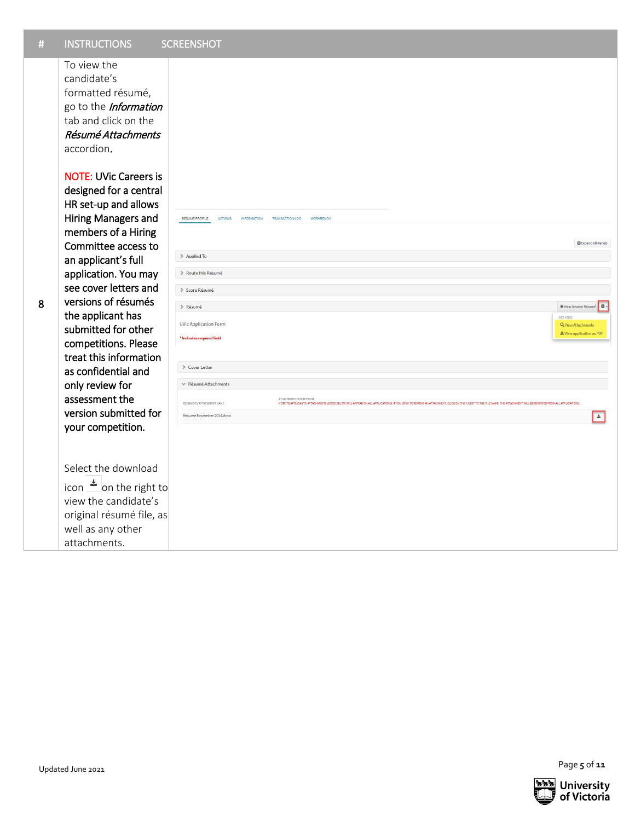| $\#$ | <b>INSTRUCTIONS</b>                                                                                                                                                                                                                                                                                                                                                                                                                                        | <b>SCREENSHOT</b>                                                                                                                                                                                                                                                                                  |                                    |
|------|------------------------------------------------------------------------------------------------------------------------------------------------------------------------------------------------------------------------------------------------------------------------------------------------------------------------------------------------------------------------------------------------------------------------------------------------------------|----------------------------------------------------------------------------------------------------------------------------------------------------------------------------------------------------------------------------------------------------------------------------------------------------|------------------------------------|
|      | To view the<br>candidate's<br>formatted résumé,<br>go to the Information<br>tab and click on the<br>Résumé Attachments<br>accordion.                                                                                                                                                                                                                                                                                                                       |                                                                                                                                                                                                                                                                                                    |                                    |
|      | <b>NOTE: UVic Careers is</b><br>designed for a central<br>HR set-up and allows<br>Hiring Managers and<br>members of a Hiring<br>Committee access to<br>an applicant's full<br>application. You may<br>see cover letters and<br>versions of résumés<br>the applicant has<br>submitted for other<br>competitions. Please<br>treat this information<br>as confidential and<br>only review for<br>assessment the<br>version submitted for<br>your competition. |                                                                                                                                                                                                                                                                                                    |                                    |
|      |                                                                                                                                                                                                                                                                                                                                                                                                                                                            | RÉSUMÉ PROFILE<br><b>ACTIONS</b><br><b>INFORMATION</b><br><b>TRANSACTION LOG</b><br><b>WORKBENCH</b><br><b>B</b> Expand All Panels                                                                                                                                                                 |                                    |
|      |                                                                                                                                                                                                                                                                                                                                                                                                                                                            | > Applied To<br>> Route this Résumé                                                                                                                                                                                                                                                                |                                    |
| 8    |                                                                                                                                                                                                                                                                                                                                                                                                                                                            | > Score Résumé<br>> Résumé<br>*View Newest Résumé                                                                                                                                                                                                                                                  | $\bullet$                          |
|      |                                                                                                                                                                                                                                                                                                                                                                                                                                                            | <b>ACTIONS</b><br><b>UVic Application Form</b><br>Q View Attachments<br>*View application as PDF<br>* Indicates required field                                                                                                                                                                     |                                    |
|      |                                                                                                                                                                                                                                                                                                                                                                                                                                                            | > Cover Letter<br>← Résumé Attachments                                                                                                                                                                                                                                                             |                                    |
|      |                                                                                                                                                                                                                                                                                                                                                                                                                                                            | ATTACHMENT DESCRIPTION<br>RÉSUMÉ/CV ATTACHMENT NAME<br>NOTE TO APPLICANTS: ATTACHMENTS LISTED BELOW WILL APPEAR ON ALL APPLICATIONS. IF YOU WISH TO REMOVE AN ATTACHMENT, CLICK ON THE X NEXT TO THE FILE NAME. THE ATTACHMENT WILL BE REMOVED FROM ALL APPLICATIONS.<br>Resume November 2014.docx | $\left\vert \mathbf{z}\right\vert$ |
|      |                                                                                                                                                                                                                                                                                                                                                                                                                                                            |                                                                                                                                                                                                                                                                                                    |                                    |
|      | Select the download<br>icon $\triangleq$ on the right to                                                                                                                                                                                                                                                                                                                                                                                                   |                                                                                                                                                                                                                                                                                                    |                                    |
|      | view the candidate's<br>original résumé file, as                                                                                                                                                                                                                                                                                                                                                                                                           |                                                                                                                                                                                                                                                                                                    |                                    |
|      | well as any other<br>attachments.                                                                                                                                                                                                                                                                                                                                                                                                                          |                                                                                                                                                                                                                                                                                                    |                                    |
|      |                                                                                                                                                                                                                                                                                                                                                                                                                                                            |                                                                                                                                                                                                                                                                                                    |                                    |
|      |                                                                                                                                                                                                                                                                                                                                                                                                                                                            |                                                                                                                                                                                                                                                                                                    |                                    |
|      |                                                                                                                                                                                                                                                                                                                                                                                                                                                            |                                                                                                                                                                                                                                                                                                    |                                    |
|      |                                                                                                                                                                                                                                                                                                                                                                                                                                                            |                                                                                                                                                                                                                                                                                                    |                                    |
|      |                                                                                                                                                                                                                                                                                                                                                                                                                                                            |                                                                                                                                                                                                                                                                                                    |                                    |
|      | Updated June 2021                                                                                                                                                                                                                                                                                                                                                                                                                                          | Page 5 of 11                                                                                                                                                                                                                                                                                       |                                    |

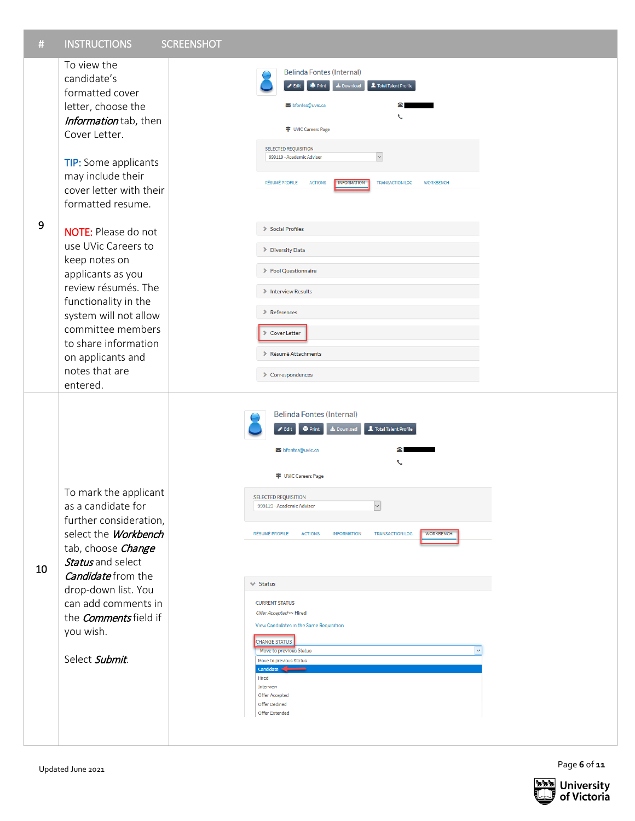

Page 6 of 11

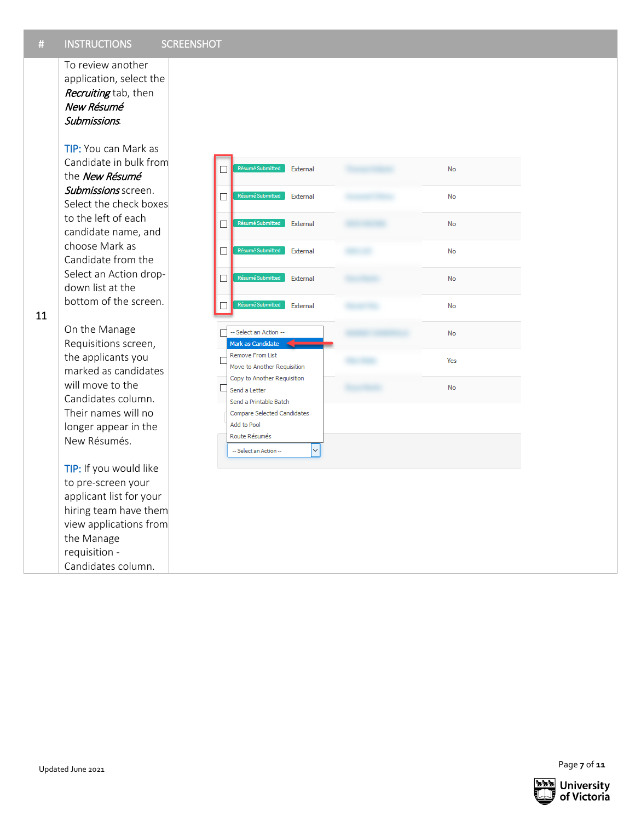To review another application, select the Recruiting tab, then New Résumé Submissions*.*

TIP: You can Mark as Candidate in bulk from the New Résumé Submissions screen. Select the check boxes to the left of each candidate name, and choose Mark as Candidate from the Select an Action drop down list at the bottom of the screen.

11

On the Manage Requisitions screen, the applicants you marked as candidates will move to the Candidates column. Their names will no longer appear in the New Résumés . TIP: If you would like

to pre -screen your applicant list for your hiring team have them view applications from the Manage requisition - Candidates column.

**7 C** or **11** Updated June 2021 **C** or **11 C** or **11 C** or **11 C** or **11 C** or **11 C** or **11 C** or **11 C** or **11 C** or **11 C** or **11 C** or **11 C** or **11 C** or **11 C** or **11 C** or **11 C** or



Page 7 of 11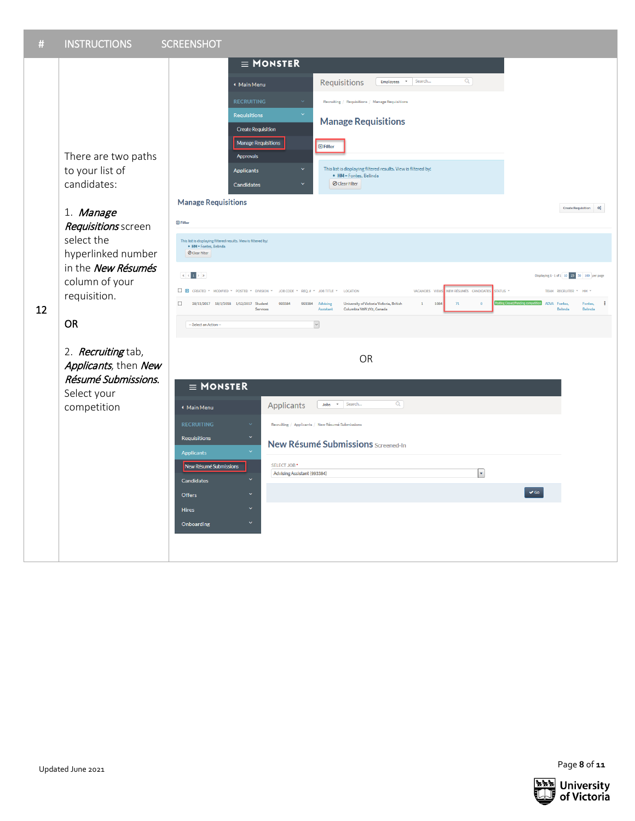

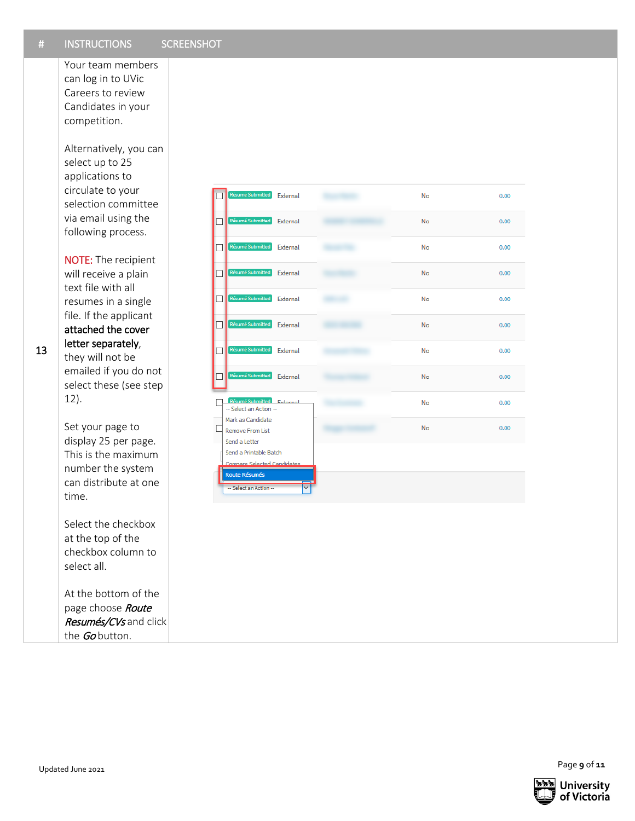| $\#$ | <b>INSTRUCTIONS</b>                                                                                                                                                                                                                                                                                   | <b>SCREENSHOT</b> |                                                                                                                                        |          |           |      |              |
|------|-------------------------------------------------------------------------------------------------------------------------------------------------------------------------------------------------------------------------------------------------------------------------------------------------------|-------------------|----------------------------------------------------------------------------------------------------------------------------------------|----------|-----------|------|--------------|
|      | Your team members<br>can log in to UVic<br>Careers to review<br>Candidates in your<br>competition.<br>Alternatively, you can                                                                                                                                                                          |                   |                                                                                                                                        |          |           |      |              |
|      | select up to 25<br>applications to                                                                                                                                                                                                                                                                    |                   |                                                                                                                                        |          |           |      |              |
|      | circulate to your<br>selection committee<br>via email using the<br>following process.                                                                                                                                                                                                                 |                   | ésumé Submitted                                                                                                                        | External | No        | 0.00 |              |
|      |                                                                                                                                                                                                                                                                                                       | $\mathsf{L}$      | <b>Résumé Submitted</b>                                                                                                                | External | <b>No</b> | 0.00 |              |
|      | <b>NOTE:</b> The recipient                                                                                                                                                                                                                                                                            | □                 | Résumé Submitted                                                                                                                       | External | No        | 0.00 |              |
|      | will receive a plain<br>text file with all                                                                                                                                                                                                                                                            | □                 | Résumé Submitted                                                                                                                       | External | No        | 0.00 |              |
|      | resumes in a single<br>file. If the applicant<br>attached the cover<br>letter separately,<br>they will not be<br>emailed if you do not<br>select these (see step<br>$12$ ).<br>Set your page to<br>display 25 per page.<br>This is the maximum<br>number the system<br>can distribute at one<br>time. | □                 | Résumé Submitted                                                                                                                       | External | <b>No</b> | 0.00 |              |
|      |                                                                                                                                                                                                                                                                                                       | ப                 | Résumé Submitted                                                                                                                       | External | <b>No</b> | 0.00 |              |
| 13   |                                                                                                                                                                                                                                                                                                       | П                 | Résumé Submitted                                                                                                                       | External | <b>No</b> | 0.00 |              |
|      |                                                                                                                                                                                                                                                                                                       | П                 | Résumé Submitted                                                                                                                       | External | No        | 0.00 |              |
|      |                                                                                                                                                                                                                                                                                                       |                   | sumé Submitted<br>-- Select an Action --<br>Mark as Candidate                                                                          | Esterna  | No        | 0.00 |              |
|      |                                                                                                                                                                                                                                                                                                       |                   | <b>Remove From List</b><br>Send a Letter<br>Send a Printable Batch<br>Compare Selected Candidates<br>Route Résumés<br>Select an Action |          | <b>No</b> | 0.00 |              |
|      | Select the checkbox<br>at the top of the<br>checkbox column to<br>select all.                                                                                                                                                                                                                         |                   |                                                                                                                                        |          |           |      |              |
|      | At the bottom of the<br>page choose Route<br>Resumés/CVs and click<br>the Gobutton.                                                                                                                                                                                                                   |                   |                                                                                                                                        |          |           |      |              |
|      |                                                                                                                                                                                                                                                                                                       |                   |                                                                                                                                        |          |           |      |              |
|      | Updated June 2021                                                                                                                                                                                                                                                                                     |                   |                                                                                                                                        |          |           |      | Page 9 of 11 |

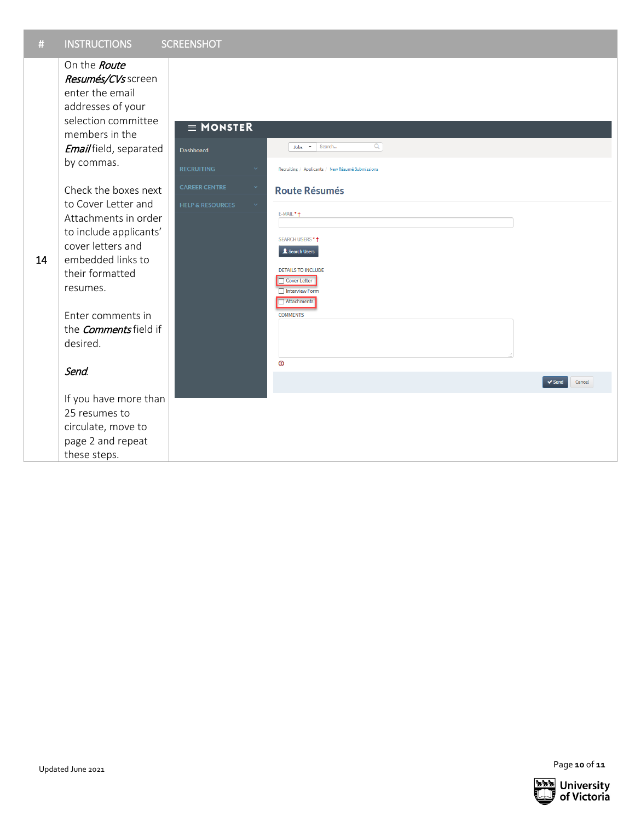